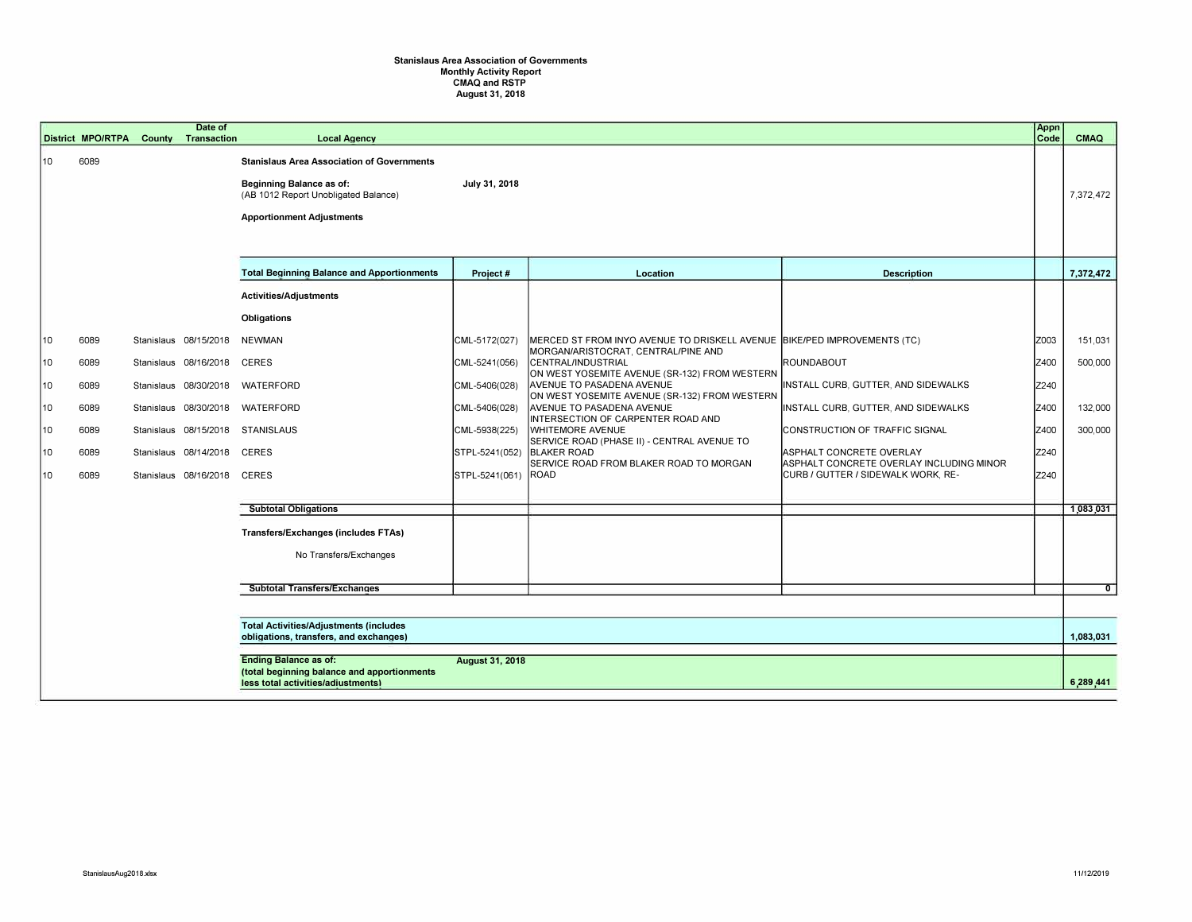## Stanislaus Area Association of Governments Monthly Activity Report CMAQ and RSTP August 31, 2018

|    |                                                                                         | <b>District MPO/RTPA</b> | County     | Date of<br><b>Transaction</b> | <b>Local Agency</b>                                                                                                                                              |                        |                                                                                                                   |                                                                      | Appn<br>Code | <b>CMAQ</b>    |
|----|-----------------------------------------------------------------------------------------|--------------------------|------------|-------------------------------|------------------------------------------------------------------------------------------------------------------------------------------------------------------|------------------------|-------------------------------------------------------------------------------------------------------------------|----------------------------------------------------------------------|--------------|----------------|
| 10 |                                                                                         | 6089                     |            |                               | <b>Stanislaus Area Association of Governments</b><br><b>Beginning Balance as of:</b><br>(AB 1012 Report Unobligated Balance)<br><b>Apportionment Adjustments</b> | July 31, 2018          |                                                                                                                   |                                                                      |              | 7,372,472      |
|    |                                                                                         |                          |            |                               | <b>Total Beginning Balance and Apportionments</b>                                                                                                                | Project #              | Location                                                                                                          | <b>Description</b>                                                   |              | 7,372,472      |
|    |                                                                                         |                          |            |                               | <b>Activities/Adjustments</b>                                                                                                                                    |                        |                                                                                                                   |                                                                      |              |                |
|    |                                                                                         |                          |            |                               | Obligations                                                                                                                                                      |                        |                                                                                                                   |                                                                      |              |                |
| 10 |                                                                                         | 6089                     | Stanislaus | 08/15/2018                    | <b>NEWMAN</b>                                                                                                                                                    | CML-5172(027)          | MERCED ST FROM INYO AVENUE TO DRISKELL AVENUE   BIKE/PED IMPROVEMENTS (TC)<br>MORGAN/ARISTOCRAT, CENTRAL/PINE AND |                                                                      | Z003         | 151,031        |
| 10 |                                                                                         | 6089                     | Stanislaus | 08/16/2018                    | <b>CERES</b>                                                                                                                                                     | $ CML - 5241(056) $    | CENTRAL/INDUSTRIAL<br>ON WEST YOSEMITE AVENUE (SR-132) FROM WESTERN                                               | ROUNDABOUT                                                           | Z400         | 500,000        |
| 10 |                                                                                         | 6089                     | Stanislaus | 08/30/2018                    | WATERFORD                                                                                                                                                        | CML-5406(028)          | AVENUE TO PASADENA AVENUE<br>ON WEST YOSEMITE AVENUE (SR-132) FROM WESTERN                                        | INSTALL CURB, GUTTER, AND SIDEWALKS                                  | Z240         |                |
| 10 |                                                                                         | 6089                     | Stanislaus | 08/30/2018                    | WATERFORD                                                                                                                                                        | CML-5406(028)          | AVENUE TO PASADENA AVENUE<br>INTERSECTION OF CARPENTER ROAD AND                                                   | INSTALL CURB, GUTTER, AND SIDEWALKS                                  | Z400         | 132,000        |
| 10 |                                                                                         | 6089                     | Stanislaus |                               | 08/15/2018 STANISLAUS                                                                                                                                            | CML-5938(225)          | <b>WHITEMORE AVENUE</b><br>SERVICE ROAD (PHASE II) - CENTRAL AVENUE TO                                            | CONSTRUCTION OF TRAFFIC SIGNAL                                       | Z400         | 300,000        |
| 10 |                                                                                         | 6089                     |            | Stanislaus 08/14/2018         | <b>CERES</b>                                                                                                                                                     | STPL-5241(052)         | <b>BLAKER ROAD</b><br>SERVICE ROAD FROM BLAKER ROAD TO MORGAN                                                     | ASPHALT CONCRETE OVERLAY<br>ASPHALT CONCRETE OVERLAY INCLUDING MINOR | Z240         |                |
| 10 |                                                                                         | 6089                     |            | Stanislaus 08/16/2018         | <b>CERES</b>                                                                                                                                                     | STPL-5241(061)         | ROAD                                                                                                              | CURB / GUTTER / SIDEWALK WORK, RE-                                   | Z240         |                |
|    |                                                                                         |                          |            |                               | <b>Subtotal Obligations</b>                                                                                                                                      |                        |                                                                                                                   |                                                                      |              | 1,083,031      |
|    |                                                                                         |                          |            |                               | Transfers/Exchanges (includes FTAs)                                                                                                                              |                        |                                                                                                                   |                                                                      |              |                |
|    |                                                                                         |                          |            |                               | No Transfers/Exchanges                                                                                                                                           |                        |                                                                                                                   |                                                                      |              |                |
|    |                                                                                         |                          |            |                               | <b>Subtotal Transfers/Exchanges</b>                                                                                                                              |                        |                                                                                                                   |                                                                      |              | $\overline{0}$ |
|    |                                                                                         |                          |            |                               |                                                                                                                                                                  |                        |                                                                                                                   |                                                                      |              |                |
|    | <b>Total Activities/Adjustments (includes</b><br>obligations, transfers, and exchanges) |                          |            |                               |                                                                                                                                                                  |                        |                                                                                                                   |                                                                      |              | 1,083,031      |
|    |                                                                                         |                          |            |                               | <b>Ending Balance as of:</b><br>(total beginning balance and apportionments<br>less total activities/adiustments)                                                | <b>August 31, 2018</b> |                                                                                                                   |                                                                      |              | 6,289,441      |